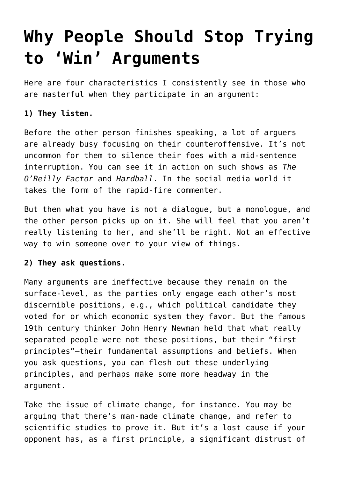# **[Why People Should Stop Trying](https://intellectualtakeout.org/2017/03/why-people-should-stop-trying-to-win-arguments/) [to 'Win' Arguments](https://intellectualtakeout.org/2017/03/why-people-should-stop-trying-to-win-arguments/)**

Here are four characteristics I consistently see in those who are masterful when they participate in an argument:

## **1) They listen.**

Before the other person finishes speaking, a lot of arguers are already busy focusing on their counteroffensive. It's not uncommon for them to silence their foes with a mid-sentence interruption. You can see it in action on such shows as *The O'Reilly Factor* and *Hardball*. In the social media world it takes the form of the rapid-fire commenter.

But then what you have is not a dialogue, but a monologue, and the other person picks up on it. She will feel that you aren't really listening to her, and she'll be right. Not an effective way to win someone over to your view of things.

### **2) They ask questions.**

Many arguments are ineffective because they remain on the surface-level, as the parties only engage each other's most discernible positions, e.g., which political candidate they voted for or which economic system they favor. But the famous 19th century thinker John Henry Newman held that what really separated people were not these positions, but their "first principles"—their fundamental assumptions and beliefs. When you ask questions, you can flesh out these underlying principles, and perhaps make some more headway in the argument.

Take the issue of climate change, for instance. You may be arguing that there's man-made climate change, and refer to scientific studies to prove it. But it's a lost cause if your opponent has, as a first principle, a significant distrust of